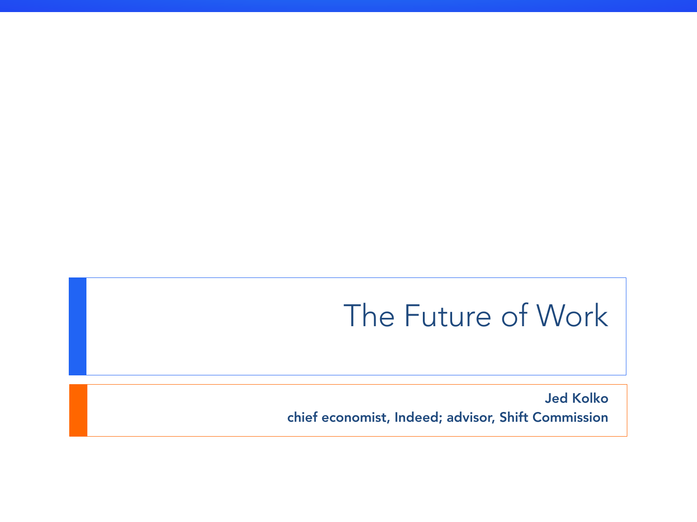### The Future of Work

Jed Kolko chief economist, Indeed; advisor, Shift Commission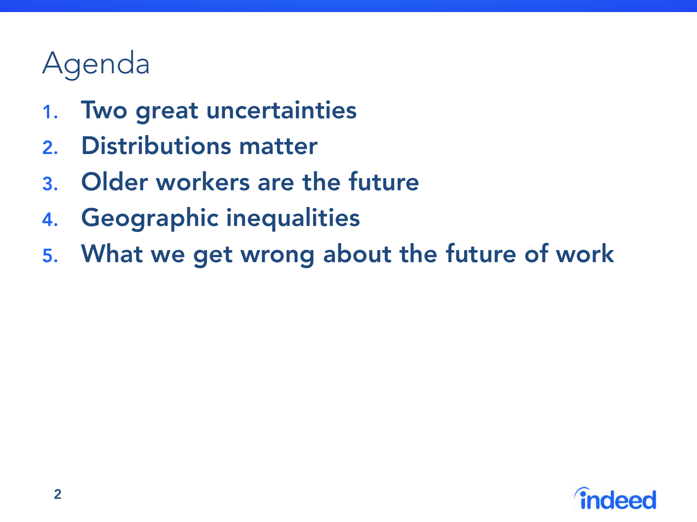- 1. Two great uncertainties
- 2. Distributions matter
- 3. Older workers are the future
- 4. Geographic inequalities
- 5. What we get wrong about the future of work

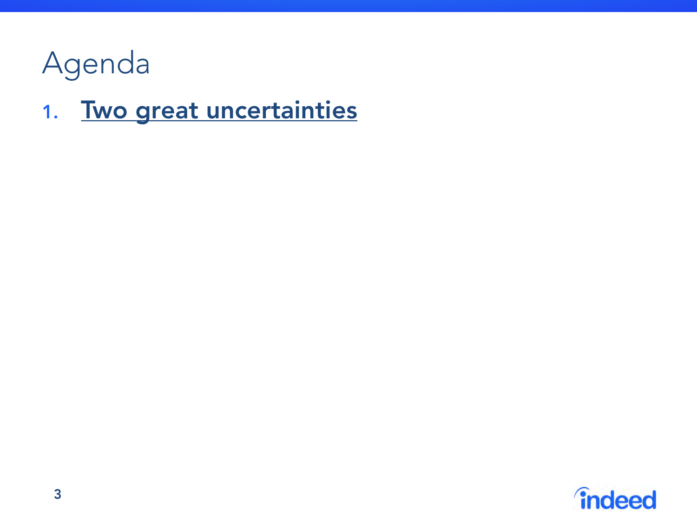

### 1. Two great uncertainties

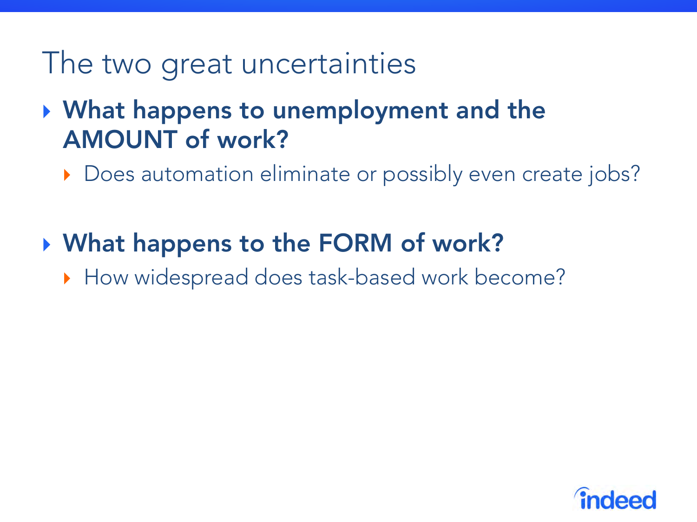### The two great uncertainties

### } What happens to unemployment and the AMOUNT of work?

} Does automation eliminate or possibly even create jobs?

### ▶ What happens to the FORM of work?

} How widespread does task-based work become?

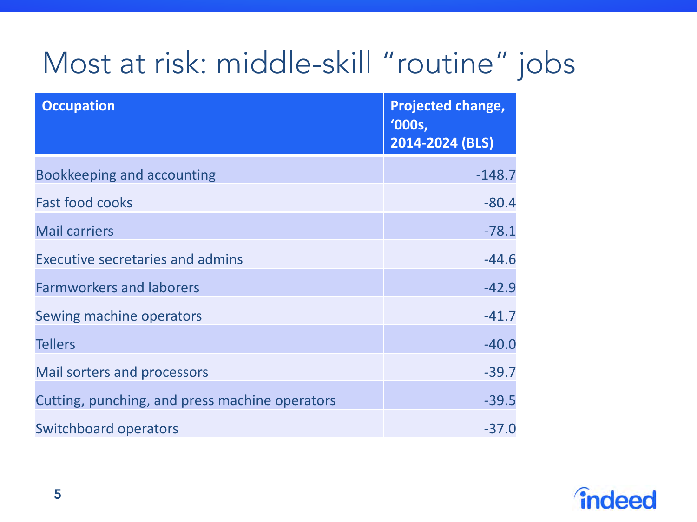# Most at risk: middle-skill "routine" jobs

| <b>Occupation</b>                              | <b>Projected change,</b><br>'000s,<br>2014-2024 (BLS) |
|------------------------------------------------|-------------------------------------------------------|
| Bookkeeping and accounting                     | $-148.7$                                              |
| <b>Fast food cooks</b>                         | $-80.4$                                               |
| <b>Mail carriers</b>                           | $-78.1$                                               |
| Executive secretaries and admins               | $-44.6$                                               |
| <b>Farmworkers and laborers</b>                | $-42.9$                                               |
| Sewing machine operators                       | $-41.7$                                               |
| <b>Tellers</b>                                 | $-40.0$                                               |
| Mail sorters and processors                    | $-39.7$                                               |
| Cutting, punching, and press machine operators | $-39.5$                                               |
| <b>Switchboard operators</b>                   | $-37.0$                                               |

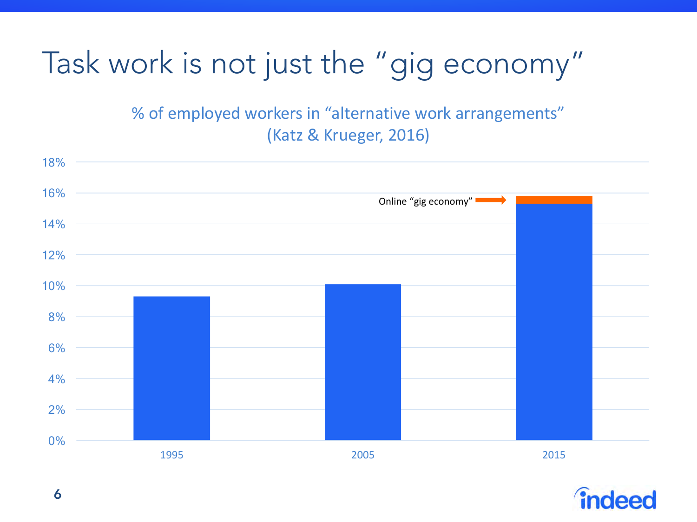## Task work is not just the "gig economy"

% of employed workers in "alternative work arrangements" (Katz & Krueger, 2016)



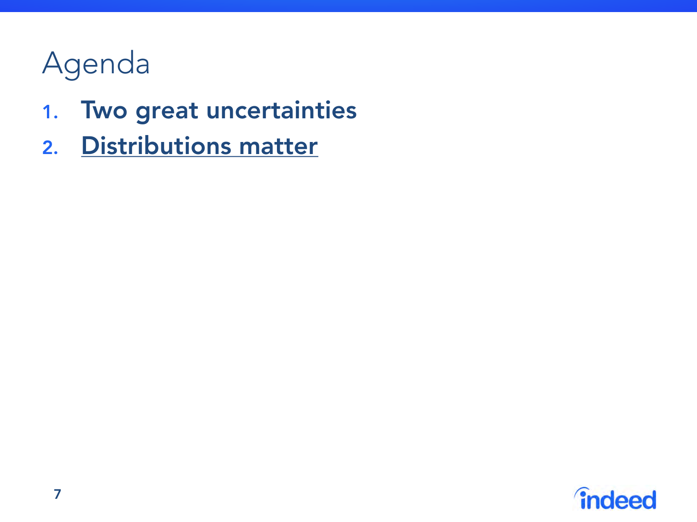- 1. Two great uncertainties
- 2. Distributions matter

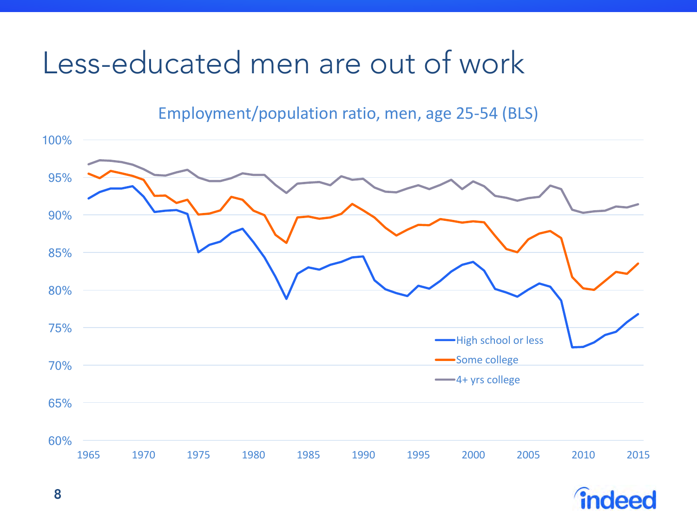### Less-educated men are out of work

#### Employment/population ratio, men, age 25-54 (BLS)



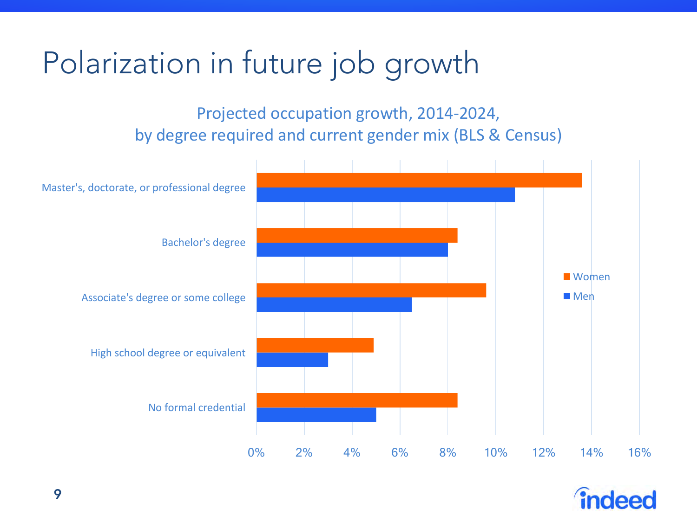## Polarization in future job growth

Projected occupation growth, 2014-2024, by degree required and current gender mix (BLS & Census)



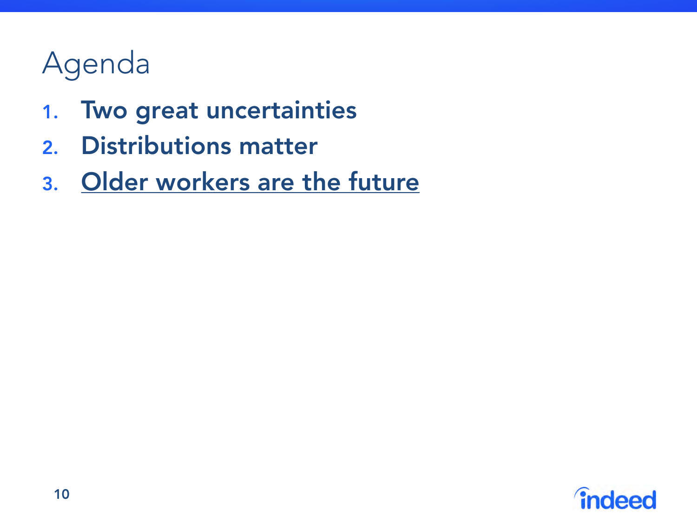- 1. Two great uncertainties
- 2. Distributions matter
- 3. Older workers are the future

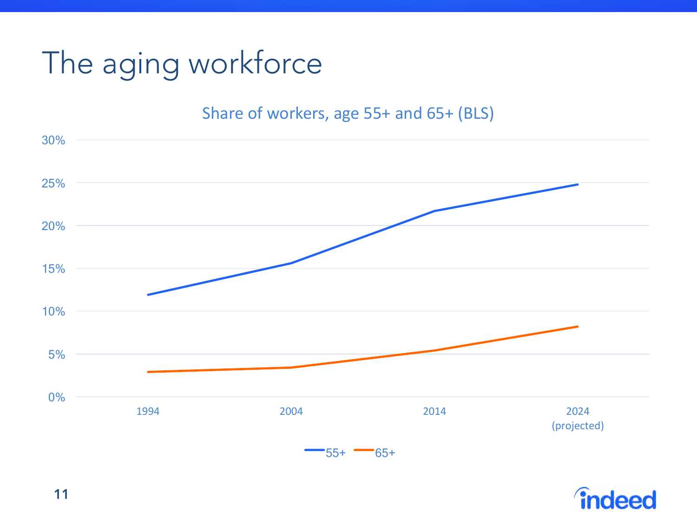# The aging workforce

#### Share of workers, age 55+ and 65+ (BLS)



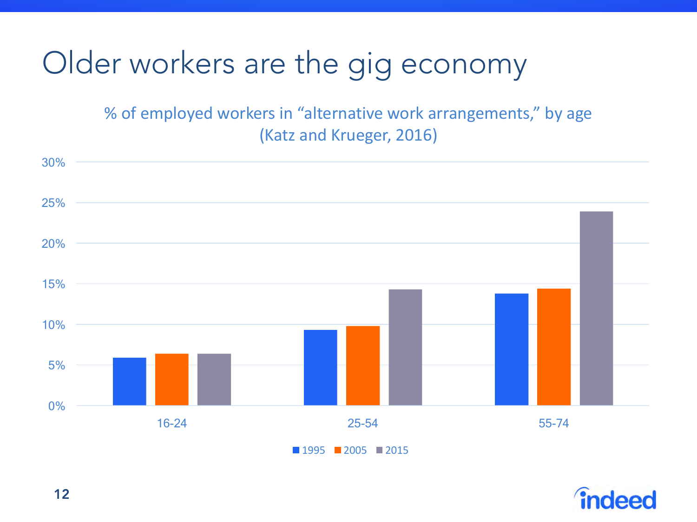## Older workers are the gig economy

% of employed workers in "alternative work arrangements," by age (Katz and Krueger, 2016)





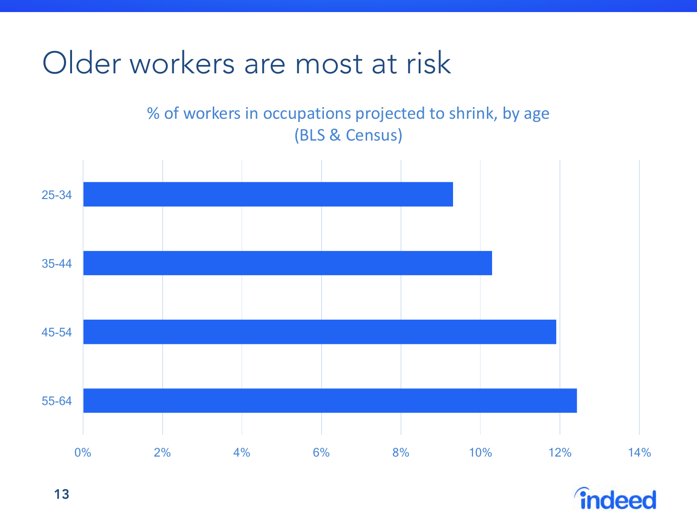Older workers are most at risk

% of workers in occupations projected to shrink, by age (BLS & Census)



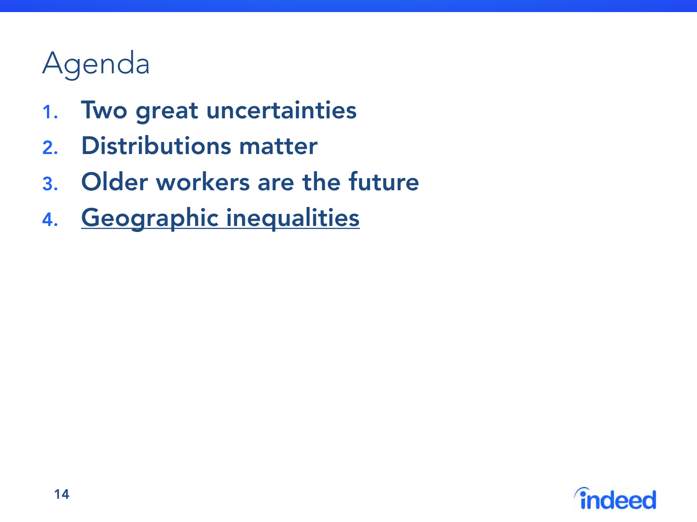- 1. Two great uncertainties
- 2. Distributions matter
- 3. Older workers are the future
- 4. Geographic inequalities

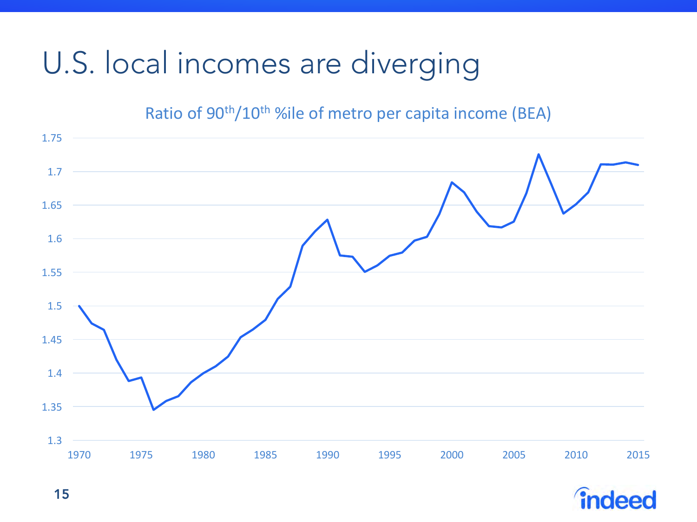## U.S. local incomes are diverging

#### Ratio of 90<sup>th</sup>/10<sup>th</sup> %ile of metro per capita income (BEA)



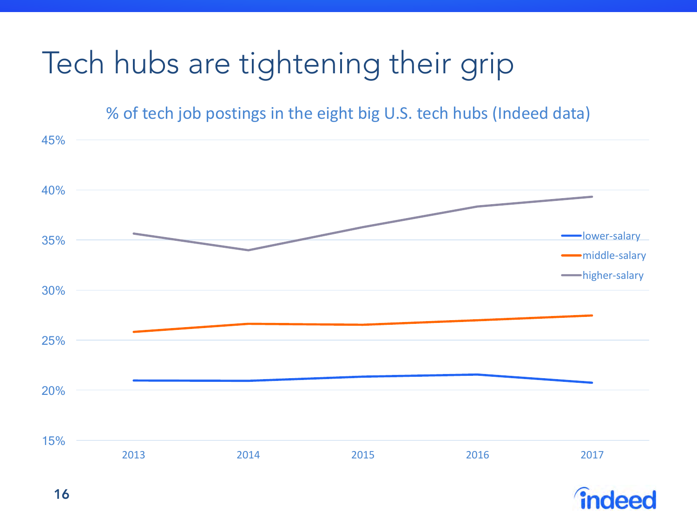# Tech hubs are tightening their grip

% of tech job postings in the eight big U.S. tech hubs (Indeed data)



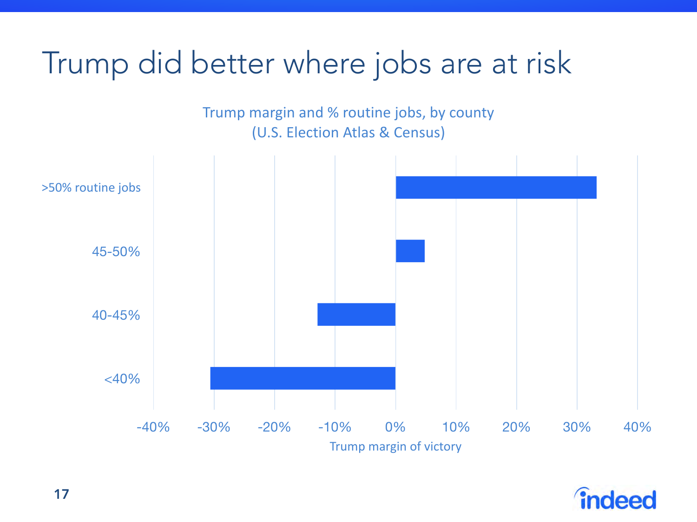### Trump did better where jobs are at risk

Trump margin and % routine jobs, by county (U.S. Election Atlas & Census)



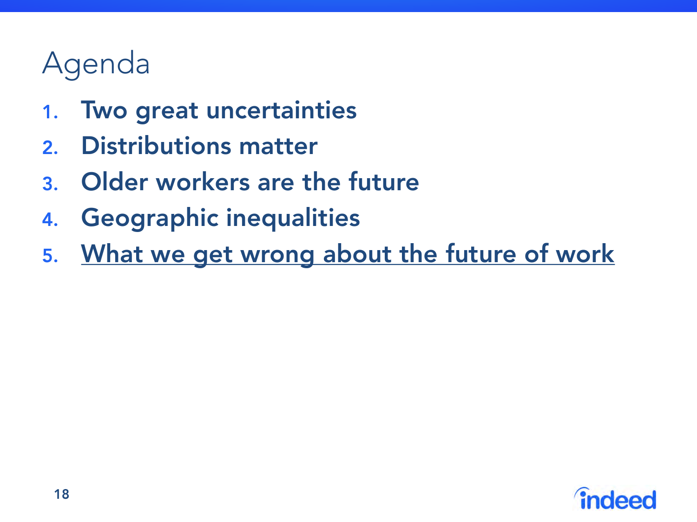- 1. Two great uncertainties
- 2. Distributions matter
- 3. Older workers are the future
- 4. Geographic inequalities
- 5. What we get wrong about the future of work

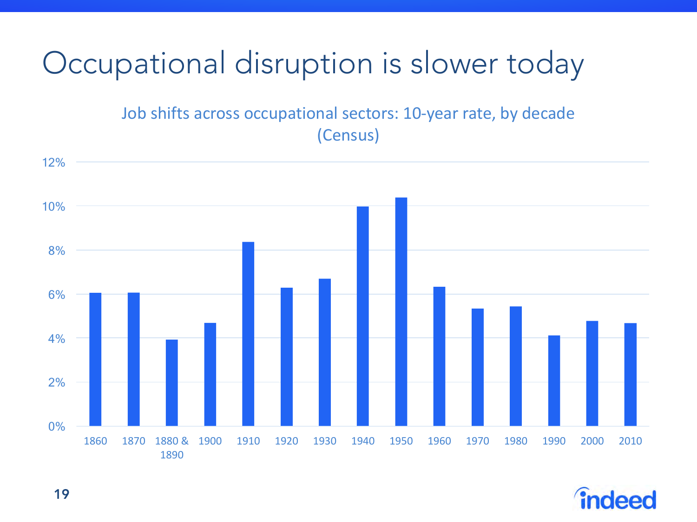## Occupational disruption is slower today

Job shifts across occupational sectors: 10-year rate, by decade (Census)



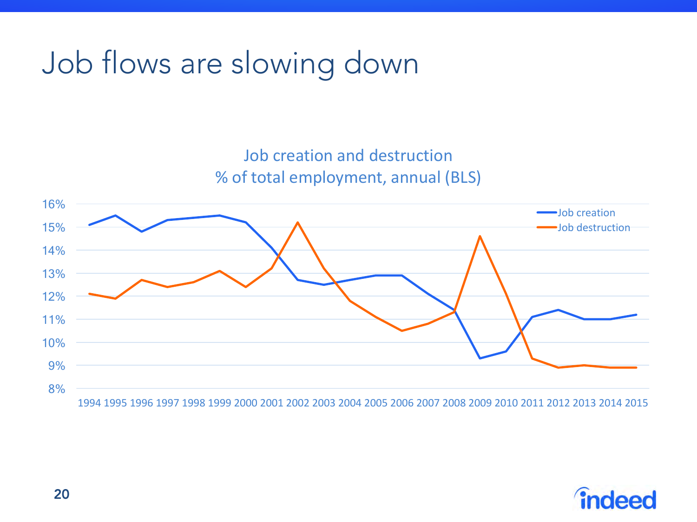### Job flows are slowing down

Job creation and destruction % of total employment, annual (BLS)



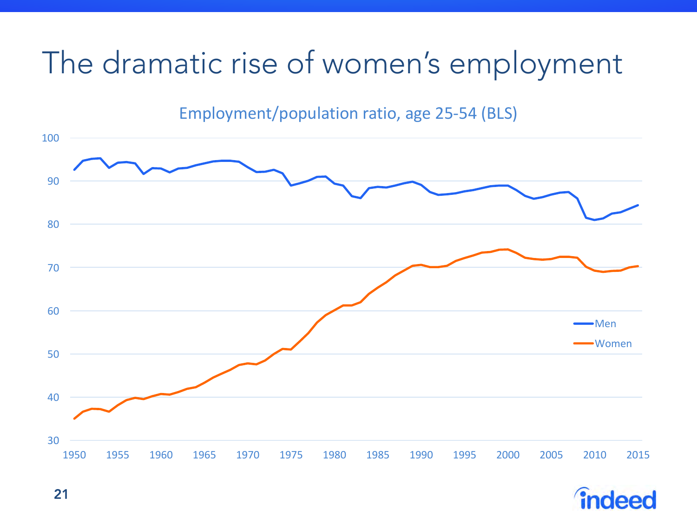### The dramatic rise of women's employment

Employment/population ratio, age 25-54 (BLS)